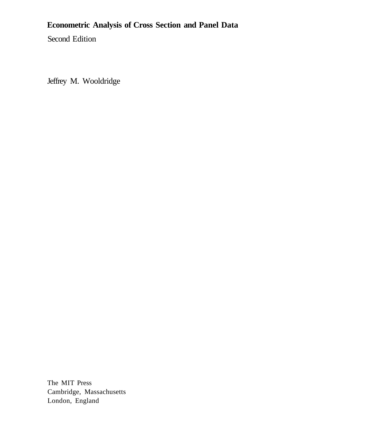# **Econometric Analysis of Cross Section and Panel Data**

Second Edition

Jeffrey M. Wooldridge

The MIT Press Cambridge, Massachusetts London, England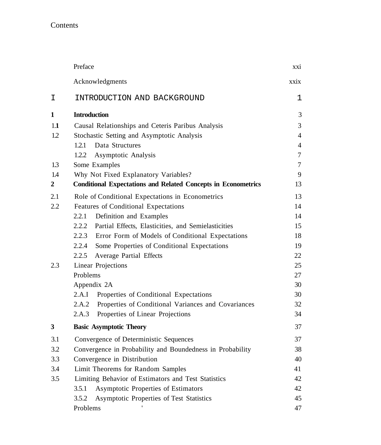## Contents

|              | Preface                                                              | xxi            |
|--------------|----------------------------------------------------------------------|----------------|
|              | Acknowledgments                                                      | xxix           |
| I            | INTRODUCTION AND BACKGROUND                                          | 1              |
| $\mathbf{1}$ | <b>Introduction</b>                                                  | 3              |
| 1.1          | Causal Relationships and Ceteris Paribus Analysis                    | 3              |
| 1.2          | Stochastic Setting and Asymptotic Analysis                           | $\overline{4}$ |
|              | Data Structures<br>1.2.1                                             | $\overline{4}$ |
|              | 1.2.2<br>Asymptotic Analysis                                         | $\tau$         |
| 1.3          | Some Examples                                                        | $\tau$         |
| 1.4          | Why Not Fixed Explanatory Variables?                                 | 9              |
| 2            | <b>Conditional Expectations and Related Concepts in Econometrics</b> | 13             |
| 2.1          | Role of Conditional Expectations in Econometrics                     | 13             |
| 2.2          | Features of Conditional Expectations                                 | 14             |
|              | 2.2.1<br>Definition and Examples                                     | 14             |
|              | 2.2.2 Partial Effects, Elasticities, and Semielasticities            | 15             |
|              | 2.2.3 Error Form of Models of Conditional Expectations               | 18             |
|              | 2.2.4<br>Some Properties of Conditional Expectations                 | 19             |
|              | 2.2.5<br>Average Partial Effects                                     | 22             |
| 2.3          | <b>Linear Projections</b>                                            | 25             |
|              | Problems                                                             | 27             |
|              | Appendix 2A                                                          | 30             |
|              | 2.A.I<br>Properties of Conditional Expectations                      | 30             |
|              | 2.A.2<br>Properties of Conditional Variances and Covariances         | 32             |
|              | 2.A.3<br>Properties of Linear Projections                            | 34             |
| 3            | <b>Basic Asymptotic Theory</b>                                       | 37             |
| 3.1          | Convergence of Deterministic Sequences                               | 37             |
| 3.2          | Convergence in Probability and Boundedness in Probability            | 38             |
| 3.3          | Convergence in Distribution                                          | 40             |
| 3.4          | Limit Theorems for Random Samples                                    | 41             |
| 3.5          | Limiting Behavior of Estimators and Test Statistics                  | 42             |
|              | 3.5.1<br>Asymptotic Properties of Estimators                         | 42             |
|              | 3.5.2<br>Asymptotic Properties of Test Statistics                    | 45             |
|              | Problems                                                             | 47             |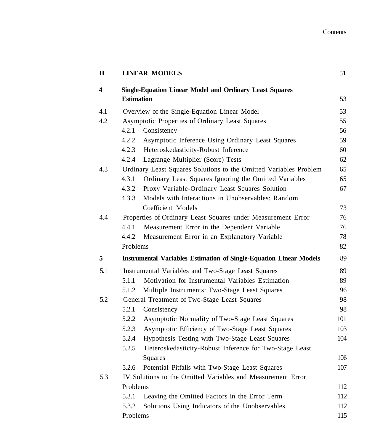| $\mathbf I$             |                   | <b>LINEAR MODELS</b>                                                      | 51  |
|-------------------------|-------------------|---------------------------------------------------------------------------|-----|
| $\overline{\mathbf{4}}$ |                   | <b>Single-Equation Linear Model and Ordinary Least Squares</b>            |     |
|                         | <b>Estimation</b> |                                                                           | 53  |
| 4.1                     |                   | Overview of the Single-Equation Linear Model                              | 53  |
| 4.2                     |                   | Asymptotic Properties of Ordinary Least Squares                           | 55  |
|                         | 4.2.1             | Consistency                                                               | 56  |
|                         | 4.2.2             | Asymptotic Inference Using Ordinary Least Squares                         | 59  |
|                         | 4.2.3             | Heteroskedasticity-Robust Inference                                       | 60  |
|                         | 4.2.4             | Lagrange Multiplier (Score) Tests                                         | 62  |
| 4.3                     |                   | Ordinary Least Squares Solutions to the Omitted Variables Problem         | 65  |
|                         | 4.3.1             | Ordinary Least Squares Ignoring the Omitted Variables                     | 65  |
|                         | 4.3.2             | Proxy Variable-Ordinary Least Squares Solution                            | 67  |
|                         | 4.3.3             | Models with Interactions in Unobservables: Random                         |     |
|                         |                   | Coefficient Models                                                        | 73  |
| 4.4                     |                   | Properties of Ordinary Least Squares under Measurement Error              | 76  |
|                         | 4.4.1             | Measurement Error in the Dependent Variable                               | 76  |
|                         | 4.4.2             | Measurement Error in an Explanatory Variable                              | 78  |
|                         | Problems          |                                                                           | 82  |
| 5                       |                   | <b>Instrumental Variables Estimation of Single-Equation Linear Models</b> | 89  |
| 5.1                     |                   | Instrumental Variables and Two-Stage Least Squares                        | 89  |
|                         | 5.1.1             | Motivation for Instrumental Variables Estimation                          | 89  |
|                         | 5.1.2             | Multiple Instruments: Two-Stage Least Squares                             | 96  |
| 5.2                     |                   | General Treatment of Two-Stage Least Squares                              | 98  |
|                         | 5.2.1             | Consistency                                                               | 98  |
|                         | 5.2.2             | Asymptotic Normality of Two-Stage Least Squares                           | 101 |
|                         | 5.2.3             | Asymptotic Efficiency of Two-Stage Least Squares                          | 103 |
|                         | 5.2.4             | Hypothesis Testing with Two-Stage Least Squares                           | 104 |
|                         | 5.2.5             | Heteroskedasticity-Robust Inference for Two-Stage Least                   |     |
|                         |                   | Squares                                                                   | 106 |
|                         | 5.2.6             | Potential Pitfalls with Two-Stage Least Squares                           | 107 |
| 5.3                     |                   | IV Solutions to the Omitted Variables and Measurement Error               |     |
|                         | Problems          |                                                                           | 112 |
|                         | 5.3.1             | Leaving the Omitted Factors in the Error Term                             | 112 |
|                         | 5.3.2             | Solutions Using Indicators of the Unobservables                           | 112 |
|                         | Problems          |                                                                           | 115 |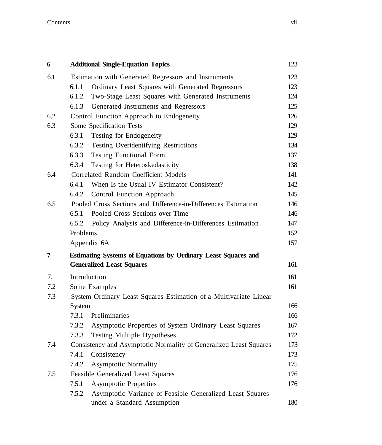#### **Contents** vii

| 6   | <b>Additional Single-Equation Topics</b>                           | 123 |
|-----|--------------------------------------------------------------------|-----|
| 6.1 | Estimation with Generated Regressors and Instruments               | 123 |
|     | Ordinary Least Squares with Generated Regressors<br>6.1.1          | 123 |
|     | 6.1.2<br>Two-Stage Least Squares with Generated Instruments        | 124 |
|     | 6.1.3<br>Generated Instruments and Regressors                      | 125 |
| 6.2 | Control Function Approach to Endogeneity                           | 126 |
| 6.3 | Some Specification Tests                                           | 129 |
|     | 6.3.1<br>Testing for Endogeneity                                   | 129 |
|     | 6.3.2<br>Testing Overidentifying Restrictions                      | 134 |
|     | 6.3.3<br><b>Testing Functional Form</b>                            | 137 |
|     | 6.3.4<br>Testing for Heteroskedasticity                            | 138 |
| 6.4 | Correlated Random Coefficient Models                               | 141 |
|     | 6.4.1<br>When Is the Usual IV Estimator Consistent?                | 142 |
|     | 6.4.2<br>Control Function Approach                                 | 145 |
| 6.5 | Pooled Cross Sections and Difference-in-Differences Estimation     | 146 |
|     | Pooled Cross Sections over Time<br>6.5.1                           | 146 |
|     | 6.5.2<br>Policy Analysis and Difference-in-Differences Estimation  | 147 |
|     | Problems                                                           | 152 |
|     | Appendix 6A                                                        | 157 |
| 7   | Estimating Systems of Equations by Ordinary Least Squares and      |     |
|     | <b>Generalized Least Squares</b>                                   | 161 |
| 7.1 | Introduction                                                       | 161 |
| 7.2 | Some Examples                                                      | 161 |
| 7.3 | System Ordinary Least Squares Estimation of a Multivariate Linear  |     |
|     | System                                                             | 166 |
|     | 7.3.1<br>Preliminaries                                             | 166 |
|     | 7.3.2<br>Asymptotic Properties of System Ordinary Least Squares    | 167 |
|     | 7.3.3<br>Testing Multiple Hypotheses                               | 172 |
| 7.4 | Consistency and Asymptotic Normality of Generalized Least Squares  | 173 |
|     | 7.4.1<br>Consistency                                               | 173 |
|     | 7.4.2<br><b>Asymptotic Normality</b>                               | 175 |
| 7.5 | Feasible Generalized Least Squares                                 | 176 |
|     | 7.5.1<br><b>Asymptotic Properties</b>                              | 176 |
|     | 7.5.2<br>Asymptotic Variance of Feasible Generalized Least Squares |     |
|     | under a Standard Assumption                                        | 180 |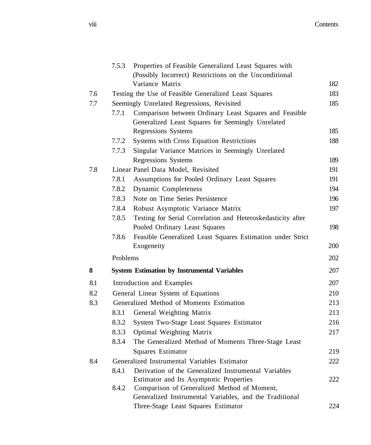|     | 7.5.3    | Properties of Feasible Generalized Least Squares with<br>(Possibly Incorrect) Restrictions on the Unconditional |     |
|-----|----------|-----------------------------------------------------------------------------------------------------------------|-----|
|     |          | Variance Matrix                                                                                                 | 182 |
| 7.6 |          | Testing the Use of Feasible Generalized Least Squares                                                           | 183 |
| 7.7 |          | Seemingly Unrelated Regressions, Revisited                                                                      | 185 |
|     | 7.7.1    | Comparison between Ordinary Least Squares and Feasible                                                          |     |
|     |          | Generalized Least Squares for Seemingly Unrelated                                                               |     |
|     |          | <b>Regressions Systems</b>                                                                                      | 185 |
|     | 7.7.2    | Systems with Cross Equation Restrictions                                                                        | 188 |
|     | 7.7.3    | Singular Variance Matrices in Seemingly Unrelated                                                               |     |
|     |          | <b>Regressions Systems</b>                                                                                      | 189 |
| 7.8 |          | Linear Panel Data Model, Revisited                                                                              | 191 |
|     | 7.8.1    | Assumptions for Pooled Ordinary Least Squares                                                                   | 191 |
|     | 7.8.2    | Dynamic Completeness                                                                                            | 194 |
|     | 7.8.3    | Note on Time Series Persistence                                                                                 | 196 |
|     | 7.8.4    | Robust Asymptotic Variance Matrix                                                                               | 197 |
|     | 7.8.5    | Testing for Serial Correlation and Heteroskedasticity after                                                     |     |
|     |          | Pooled Ordinary Least Squares                                                                                   | 198 |
|     | 7.8.6    | Feasible Generalized Least Squares Estimation under Strict<br>Exogeneity                                        | 200 |
|     | Problems |                                                                                                                 | 202 |
| 8   |          | <b>System Estimation by Instrumental Variables</b>                                                              | 207 |
| 8.1 |          | Introduction and Examples                                                                                       | 207 |
| 8.2 |          | General Linear System of Equations                                                                              | 210 |
| 8.3 |          | Generalized Method of Moments Estimation                                                                        | 213 |
|     | 8.3.1    | General Weighting Matrix                                                                                        | 213 |
|     | 8.3.2    | System Two-Stage Least Squares Estimator                                                                        | 216 |
|     | 8.3.3    | Optimal Weighting Matrix                                                                                        | 217 |
|     | 8.3.4    | The Generalized Method of Moments Three-Stage Least                                                             |     |
|     |          | Squares Estimator                                                                                               | 219 |
| 8.4 |          | Generalized Instrumental Variables Estimator                                                                    | 222 |
|     | 8.4.1    | Derivation of the Generalized Instrumental Variables                                                            |     |
|     |          | Estimator and Its Asymptotic Properties                                                                         | 222 |
|     | 8.4.2    | Comparison of Generalized Method of Moment,                                                                     |     |
|     |          | Generalized Instrumental Variables, and the Traditional                                                         |     |
|     |          | Three-Stage Least Squares Estimator                                                                             | 224 |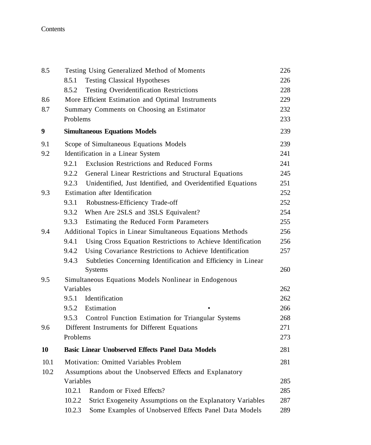### Contents

| 8.5              |           | Testing Using Generalized Method of Moments                   | 226 |
|------------------|-----------|---------------------------------------------------------------|-----|
|                  | 8.5.1     | <b>Testing Classical Hypotheses</b>                           | 226 |
|                  | 8.5.2     | <b>Testing Overidentification Restrictions</b>                | 228 |
| 8.6              |           | More Efficient Estimation and Optimal Instruments             | 229 |
| 8.7              |           | Summary Comments on Choosing an Estimator                     | 232 |
|                  | Problems  |                                                               | 233 |
| $\boldsymbol{9}$ |           | <b>Simultaneous Equations Models</b>                          | 239 |
| 9.1              |           | Scope of Simultaneous Equations Models                        | 239 |
| 9.2              |           | Identification in a Linear System                             | 241 |
|                  | 9.2.1     | Exclusion Restrictions and Reduced Forms                      | 241 |
|                  | 9.2.2     | General Linear Restrictions and Structural Equations          | 245 |
|                  | 9.2.3     | Unidentified, Just Identified, and Overidentified Equations   | 251 |
| 9.3              |           | Estimation after Identification                               | 252 |
|                  | 9.3.1     | Robustness-Efficiency Trade-off                               | 252 |
|                  | 9.3.2     | When Are 2SLS and 3SLS Equivalent?                            | 254 |
|                  | 9.3.3     | Estimating the Reduced Form Parameters                        | 255 |
| 9.4              |           | Additional Topics in Linear Simultaneous Equations Methods    | 256 |
|                  | 9.4.1     | Using Cross Equation Restrictions to Achieve Identification   | 256 |
|                  | 9.4.2     | Using Covariance Restrictions to Achieve Identification       | 257 |
|                  | 9.4.3     | Subtleties Concerning Identification and Efficiency in Linear |     |
|                  |           | Systems                                                       | 260 |
| 9.5              |           | Simultaneous Equations Models Nonlinear in Endogenous         |     |
|                  | Variables |                                                               | 262 |
|                  | 9.5.1     | Identification                                                | 262 |
|                  | 9.5.2     | Estimation                                                    | 266 |
|                  | 9.5.3     | Control Function Estimation for Triangular Systems            | 268 |
| 9.6              |           | Different Instruments for Different Equations                 | 271 |
|                  | Problems  |                                                               | 273 |
| 10               |           | <b>Basic Linear Unobserved Effects Panel Data Models</b>      | 281 |
| 10.1             |           | Motivation: Omitted Variables Problem                         | 281 |
| 10.2             |           | Assumptions about the Unobserved Effects and Explanatory      |     |
|                  | Variables |                                                               | 285 |
|                  | 10.2.1    | Random or Fixed Effects?                                      | 285 |
|                  | 10.2.2    | Strict Exogeneity Assumptions on the Explanatory Variables    | 287 |
|                  | 10.2.3    | Some Examples of Unobserved Effects Panel Data Models         | 289 |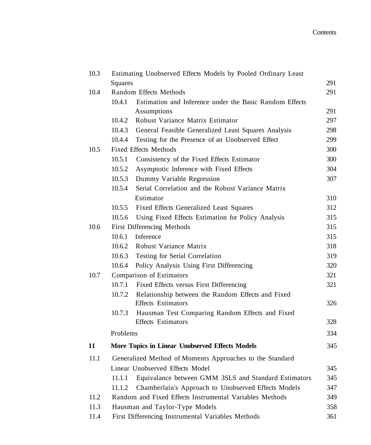| 10.3 |                  | Estimating Unobserved Effects Models by Pooled Ordinary Least                    |            |
|------|------------------|----------------------------------------------------------------------------------|------------|
|      | Squares          |                                                                                  | 291        |
| 10.4 |                  | Random Effects Methods                                                           | 291        |
|      | 10.4.1           | Estimation and Inference under the Basic Random Effects                          |            |
|      |                  | Assumptions                                                                      | 291        |
|      | 10.4.2           | Robust Variance Matrix Estimator                                                 | 297        |
|      | 10.4.3           | General Feasible Generalized Least Squares Analysis                              | 298        |
| 10.5 | 10.4.4           | Testing for the Presence of an Unobserved Effect<br><b>Fixed Effects Methods</b> | 299<br>300 |
|      | 10.5.1           | Consistency of the Fixed Effects Estimator                                       | 300        |
|      | 10.5.2           | Asymptotic Inference with Fixed Effects                                          | 304        |
|      | 10.5.3           |                                                                                  | 307        |
|      | 10.5.4           | Dummy Variable Regression<br>Serial Correlation and the Robust Variance Matrix   |            |
|      |                  | Estimator                                                                        | 310        |
|      |                  |                                                                                  |            |
|      | 10.5.5<br>10.5.6 | Fixed Effects Generalized Least Squares                                          | 312        |
| 10.6 |                  | Using Fixed Effects Estimation for Policy Analysis                               | 315<br>315 |
|      | 10.6.1           | First Differencing Methods<br>Inference                                          | 315        |
|      | 10.6.2           | Robust Variance Matrix                                                           | 318        |
|      | 10.6.3           | Testing for Serial Correlation                                                   | 319        |
|      | 10.6.4           | Policy Analysis Using First Differencing                                         | 320        |
| 10.7 |                  | Comparison of Estimators                                                         | 321        |
|      | 10.7.1           | Fixed Effects versus First Differencing                                          | 321        |
|      | 10.7.2           | Relationship between the Random Effects and Fixed                                |            |
|      |                  | <b>Effects</b> Estimators                                                        | 326        |
|      | 10.7.3           | Hausman Test Comparing Random Effects and Fixed                                  |            |
|      |                  | <b>Effects</b> Estimators                                                        | 328        |
|      | Problems         |                                                                                  | 334        |
| 11   |                  | More Topics in Linear Unobserved Effects Models                                  | 345        |
| 11.1 |                  | Generalized Method of Moments Approaches to the Standard                         |            |
|      |                  | Linear Unobserved Effects Model                                                  | 345        |
|      | 11.1.1           | Equivalance between GMM 3SLS and Standard Estimators                             | 345        |
|      | 11.1.2           | Chamberlain's Approach to Unobserved Effects Models                              | 347        |
| 11.2 |                  | Random and Fixed Effects Instrumental Variables Methods                          | 349        |
| 11.3 |                  | Hausman and Taylor-Type Models                                                   | 358        |
| 11.4 |                  | First Differencing Instrumental Variables Methods                                | 361        |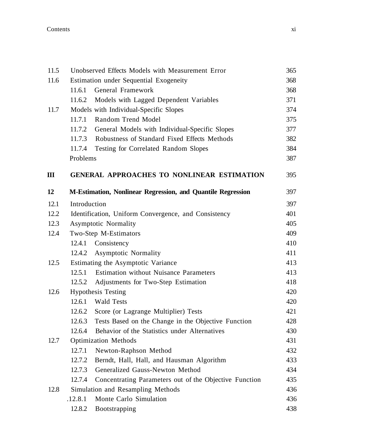#### Contents xi

| 11.5 |              | Unobserved Effects Models with Measurement Error            | 365 |
|------|--------------|-------------------------------------------------------------|-----|
| 11.6 |              | Estimation under Sequential Exogeneity                      | 368 |
|      | 11.6.1       | General Framework                                           | 368 |
|      | 11.6.2       | Models with Lagged Dependent Variables                      | 371 |
| 11.7 |              | Models with Individual-Specific Slopes                      | 374 |
|      | 11.7.1       | Random Trend Model                                          | 375 |
|      | 11.7.2       | General Models with Individual-Specific Slopes              | 377 |
|      |              | 11.7.3 Robustness of Standard Fixed Effects Methods         | 382 |
|      | 11.7.4       | Testing for Correlated Random Slopes                        | 384 |
|      | Problems     |                                                             | 387 |
| Ш    |              | <b>GENERAL APPROACHES TO NONLINEAR ESTIMATION</b>           | 395 |
| 12   |              | M-Estimation, Nonlinear Regression, and Quantile Regression | 397 |
| 12.1 | Introduction |                                                             | 397 |
| 12.2 |              | Identification, Uniform Convergence, and Consistency        | 401 |
| 12.3 |              | Asymptotic Normality                                        | 405 |
| 12.4 |              | Two-Step M-Estimators                                       | 409 |
|      | 12.4.1       | Consistency                                                 | 410 |
|      | 12.4.2       | Asymptotic Normality                                        | 411 |
| 12.5 |              | Estimating the Asymptotic Variance                          | 413 |
|      | 12.5.1       | <b>Estimation without Nuisance Parameters</b>               | 413 |
|      | 12.5.2       | Adjustments for Two-Step Estimation                         | 418 |
| 12.6 |              | <b>Hypothesis Testing</b>                                   | 420 |
|      | 12.6.1       | <b>Wald Tests</b>                                           | 420 |
|      | 12.6.2       | Score (or Lagrange Multiplier) Tests                        | 421 |
|      | 12.6.3       | Tests Based on the Change in the Objective Function         | 428 |
|      | 12.6.4       | Behavior of the Statistics under Alternatives               | 430 |
| 12.7 |              | <b>Optimization Methods</b>                                 | 431 |
|      | 12.7.1       | Newton-Raphson Method                                       | 432 |
|      | 12.7.2       | Berndt, Hall, Hall, and Hausman Algorithm                   | 433 |
|      | 12.7.3       | Generalized Gauss-Newton Method                             | 434 |
|      | 12.7.4       | Concentrating Parameters out of the Objective Function      | 435 |
| 12.8 |              | Simulation and Resampling Methods                           | 436 |
|      | .12.8.1      | Monte Carlo Simulation                                      | 436 |
|      | 12.8.2       | Bootstrapping                                               | 438 |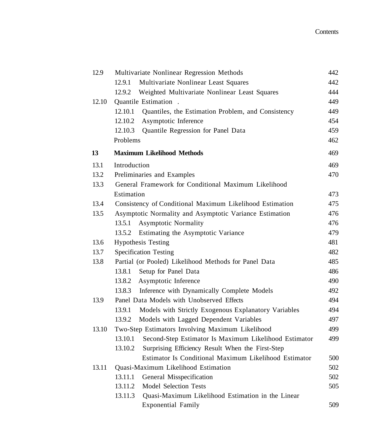| 12.9  | Multivariate Nonlinear Regression Methods                        | 442 |
|-------|------------------------------------------------------------------|-----|
|       | Multivariate Nonlinear Least Squares<br>12.9.1                   | 442 |
|       | 12.9.2<br>Weighted Multivariate Nonlinear Least Squares          | 444 |
| 12.10 | Quantile Estimation.                                             | 449 |
|       | 12.10.1<br>Quantiles, the Estimation Problem, and Consistency    | 449 |
|       | 12.10.2<br>Asymptotic Inference                                  | 454 |
|       | Quantile Regression for Panel Data<br>12.10.3                    | 459 |
|       | Problems                                                         | 462 |
| 13    | <b>Maximum Likelihood Methods</b>                                | 469 |
| 13.1  | Introduction                                                     | 469 |
| 13.2  | Preliminaries and Examples                                       | 470 |
| 13.3  | General Framework for Conditional Maximum Likelihood             |     |
|       | Estimation                                                       | 473 |
| 13.4  | Consistency of Conditional Maximum Likelihood Estimation         | 475 |
| 13.5  | Asymptotic Normality and Asymptotic Variance Estimation          | 476 |
|       | 13.5.1<br><b>Asymptotic Normality</b>                            | 476 |
|       | 13.5.2<br>Estimating the Asymptotic Variance                     | 479 |
| 13.6  | <b>Hypothesis Testing</b>                                        | 481 |
| 13.7  | <b>Specification Testing</b>                                     | 482 |
| 13.8  | Partial (or Pooled) Likelihood Methods for Panel Data            | 485 |
|       | 13.8.1<br>Setup for Panel Data                                   | 486 |
|       | 13.8.2<br>Asymptotic Inference                                   | 490 |
|       | 13.8.3<br>Inference with Dynamically Complete Models             | 492 |
| 13.9  | Panel Data Models with Unobserved Effects                        | 494 |
|       | 13.9.1<br>Models with Strictly Exogenous Explanatory Variables   | 494 |
|       | 13.9.2<br>Models with Lagged Dependent Variables                 | 497 |
| 13.10 | Two-Step Estimators Involving Maximum Likelihood                 | 499 |
|       | 13.10.1<br>Second-Step Estimator Is Maximum Likelihood Estimator | 499 |
|       | 13.10.2<br>Surprising Efficiency Result When the First-Step      |     |
|       | Estimator Is Conditional Maximum Likelihood Estimator            | 500 |
| 13.11 | Quasi-Maximum Likelihood Estimation                              | 502 |
|       | General Misspecification<br>13.11.1                              | 502 |
|       | <b>Model Selection Tests</b><br>13.11.2                          | 505 |
|       | 13.11.3<br>Quasi-Maximum Likelihood Estimation in the Linear     |     |
|       | <b>Exponential Family</b>                                        | 509 |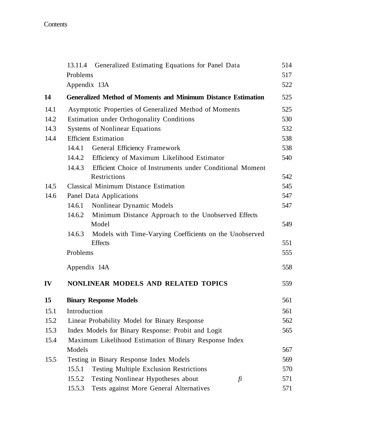Contents

|      | Generalized Estimating Equations for Panel Data<br>13.11.4           | 514 |
|------|----------------------------------------------------------------------|-----|
|      | Problems                                                             | 517 |
|      | Appendix 13A                                                         | 522 |
| 14   | <b>Generalized Method of Moments and Minimum Distance Estimation</b> | 525 |
| 14.1 | Asymptotic Properties of Generalized Method of Moments               | 525 |
| 14.2 | Estimation under Orthogonality Conditions                            | 530 |
| 14.3 | <b>Systems of Nonlinear Equations</b>                                | 532 |
| 14.4 | <b>Efficient Estimation</b>                                          | 538 |
|      | 14.4.1<br>General Efficiency Framework                               | 538 |
|      | 14.4.2<br>Efficiency of Maximum Likelihood Estimator                 | 540 |
|      | Efficient Choice of Instruments under Conditional Moment<br>14.4.3   |     |
|      | Restrictions                                                         | 542 |
| 14.5 | <b>Classical Minimum Distance Estimation</b>                         | 545 |
| 14.6 | Panel Data Applications                                              | 547 |
|      | 14.6.1<br>Nonlinear Dynamic Models                                   | 547 |
|      | 14.6.2<br>Minimum Distance Approach to the Unobserved Effects        |     |
|      | Model                                                                | 549 |
|      | 14.6.3<br>Models with Time-Varying Coefficients on the Unobserved    |     |
|      | <b>Effects</b>                                                       | 551 |
|      | Problems                                                             | 555 |
|      | Appendix 14A                                                         | 558 |
| IV   | NONLINEAR MODELS AND RELATED TOPICS                                  | 559 |
| 15   | <b>Binary Response Models</b>                                        | 561 |
| 15.1 | Introduction                                                         | 561 |
| 15.2 | Linear Probability Model for Binary Response                         | 562 |
| 15.3 | Index Models for Binary Response: Probit and Logit                   | 565 |
| 15.4 | Maximum Likelihood Estimation of Binary Response Index               |     |
|      | Models                                                               | 567 |
| 15.5 | Testing in Binary Response Index Models                              | 569 |
|      | 15.5.1<br><b>Testing Multiple Exclusion Restrictions</b>             | 570 |
|      | Testing Nonlinear Hypotheses about<br>15.5.2<br>fi                   | 571 |
|      | Tests against More General Alternatives<br>15.5.3                    | 571 |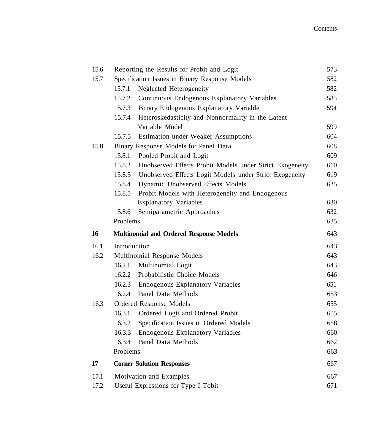| 15.6 | Reporting the Results for Probit and Logit                         | 573 |
|------|--------------------------------------------------------------------|-----|
| 15.7 | Specification Issues in Binary Response Models                     | 582 |
|      | 15.7.1<br>Neglected Heterogeneity                                  | 582 |
|      | 15.7.2<br>Continuous Endogenous Explanatory Variables              | 585 |
|      | 15.7.3<br>Binary Endogenous Explanatory Variable                   | 594 |
|      | 15.7.4<br>Heteroskedasticity and Nonnormality in the Latent        |     |
|      | Variable Model                                                     | 599 |
|      | 15.7.5<br><b>Estimation under Weaker Assumptions</b>               | 604 |
| 15.8 | Binary Response Models for Panel Data                              | 608 |
|      | 15.8.1<br>Pooled Probit and Logit                                  | 609 |
|      | 15.8.2<br>Unobserved Effects Probit Models under Strict Exogeneity | 610 |
|      | 15.8.3<br>Unobserved Effects Logit Models under Strict Exogeneity  | 619 |
|      | 15.8.4<br>Dynamic Unobserved Effects Models                        | 625 |
|      | 15.8.5<br>Probit Models with Heterogeneity and Endogenous          |     |
|      | <b>Explanatory Variables</b>                                       | 630 |
|      | 15.8.6<br>Semiparametric Approaches                                | 632 |
|      | Problems                                                           | 635 |
| 16   | <b>Multinomial and Ordered Response Models</b>                     | 643 |
|      |                                                                    |     |
| 16.1 | Introduction                                                       | 643 |
| 16.2 | Multinomial Response Models                                        | 643 |
|      | 16.2.1<br>Multinomial Logit                                        | 643 |
|      | Probabilistic Choice Models<br>16.2.2                              | 646 |
|      | 16.2.3<br><b>Endogenous Explanatory Variables</b>                  | 651 |
|      | 16.2.4<br>Panel Data Methods                                       | 653 |
| 16.3 | Ordered Response Models                                            | 655 |
|      | 16.3.1<br>Ordered Logit and Ordered Probit                         | 655 |
|      | 16.3.2<br>Specification Issues in Ordered Models                   | 658 |
|      | 16.3.3<br><b>Endogenous Explanatory Variables</b>                  | 660 |
|      | 16.3.4<br>Panel Data Methods                                       | 662 |
|      | Problems                                                           | 663 |
| 17   | <b>Corner Solution Responses</b>                                   | 667 |
| 17.1 | Motivation and Examples                                            | 667 |
| 17.2 | Useful Expressions for Type I Tobit                                | 671 |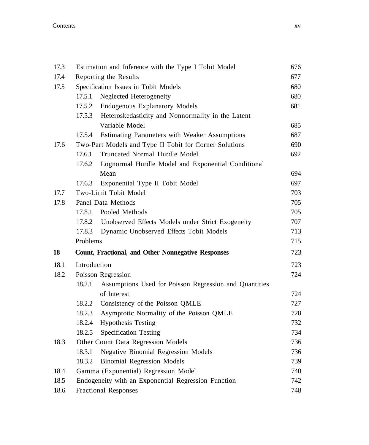| 17.3 |                                    | Estimation and Inference with the Type I Tobit Model      | 676 |
|------|------------------------------------|-----------------------------------------------------------|-----|
| 17.4 |                                    | Reporting the Results                                     | 677 |
| 17.5 |                                    | Specification Issues in Tobit Models                      | 680 |
|      | 17.5.1                             | Neglected Heterogeneity                                   | 680 |
|      | 17.5.2                             | <b>Endogenous Explanatory Models</b>                      | 681 |
|      | 17.5.3                             | Heteroskedasticity and Nonnormality in the Latent         |     |
|      |                                    | Variable Model                                            | 685 |
|      | 17.5.4                             | Estimating Parameters with Weaker Assumptions             | 687 |
| 17.6 |                                    | Two-Part Models and Type II Tobit for Corner Solutions    | 690 |
|      | 17.6.1                             | Truncated Normal Hurdle Model                             | 692 |
|      | 17.6.2                             | Lognormal Hurdle Model and Exponential Conditional        |     |
|      |                                    | Mean                                                      | 694 |
|      | 17.6.3                             | Exponential Type II Tobit Model                           | 697 |
| 17.7 |                                    | Two-Limit Tobit Model                                     | 703 |
| 17.8 |                                    | Panel Data Methods                                        | 705 |
|      | 17.8.1                             | Pooled Methods                                            | 705 |
|      |                                    | 17.8.2 Unobserved Effects Models under Strict Exogeneity  | 707 |
|      | 17.8.3                             | Dynamic Unobserved Effects Tobit Models                   | 713 |
|      | Problems                           |                                                           | 715 |
| 18   |                                    | <b>Count, Fractional, and Other Nonnegative Responses</b> | 723 |
| 18.1 | Introduction                       |                                                           | 723 |
| 18.2 |                                    | Poisson Regression                                        | 724 |
|      | 18.2.1                             | Assumptions Used for Poisson Regression and Quantities    |     |
|      |                                    | of Interest                                               | 724 |
|      | 18.2.2                             | Consistency of the Poisson QMLE                           | 727 |
|      | 18.2.3                             | Asymptotic Normality of the Poisson QMLE                  | 728 |
|      | 18.2.4                             | <b>Hypothesis Testing</b>                                 | 732 |
|      | 18.2.5                             | <b>Specification Testing</b>                              | 734 |
| 18.3 |                                    | Other Count Data Regression Models                        | 736 |
|      | 18.3.1                             | <b>Negative Binomial Regression Models</b>                | 736 |
|      | 18.3.2                             | <b>Binomial Regression Models</b>                         | 739 |
| 18.4 |                                    | Gamma (Exponential) Regression Model                      | 740 |
| 18.5 |                                    | Endogeneity with an Exponential Regression Function       | 742 |
| 18.6 | 748<br><b>Fractional Responses</b> |                                                           |     |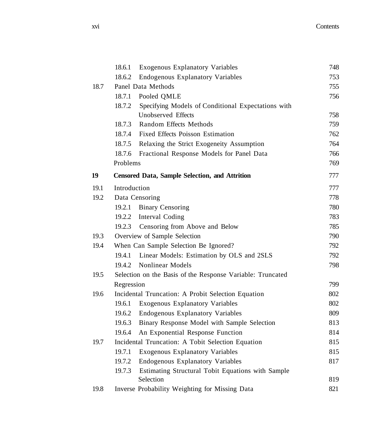|      | 18.6.1       | <b>Exogenous Explanatory Variables</b>                     | 748 |
|------|--------------|------------------------------------------------------------|-----|
|      | 18.6.2       | <b>Endogenous Explanatory Variables</b>                    | 753 |
| 18.7 |              | Panel Data Methods                                         | 755 |
|      | 18.7.1       | Pooled QMLE                                                | 756 |
|      | 18.7.2       | Specifying Models of Conditional Expectations with         |     |
|      |              | Unobserved Effects                                         | 758 |
|      | 18.7.3       | Random Effects Methods                                     | 759 |
|      | 18.7.4       | Fixed Effects Poisson Estimation                           | 762 |
|      | 18.7.5       | Relaxing the Strict Exogeneity Assumption                  | 764 |
|      | 18.7.6       | Fractional Response Models for Panel Data                  | 766 |
|      | Problems     |                                                            | 769 |
| 19   |              | <b>Censored Data, Sample Selection, and Attrition</b>      | 777 |
| 19.1 | Introduction |                                                            | 777 |
| 19.2 |              | Data Censoring                                             | 778 |
|      | 19.2.1       | <b>Binary Censoring</b>                                    | 780 |
|      |              | 19.2.2 Interval Coding                                     | 783 |
|      |              | 19.2.3 Censoring from Above and Below                      | 785 |
| 19.3 |              | Overview of Sample Selection                               | 790 |
| 19.4 |              | When Can Sample Selection Be Ignored?                      | 792 |
|      | 19.4.1       | Linear Models: Estimation by OLS and 2SLS                  | 792 |
|      | 19.4.2       | Nonlinear Models                                           | 798 |
| 19.5 |              | Selection on the Basis of the Response Variable: Truncated |     |
|      | Regression   |                                                            | 799 |
| 19.6 |              | Incidental Truncation: A Probit Selection Equation         | 802 |
|      | 19.6.1       | <b>Exogenous Explanatory Variables</b>                     | 802 |
|      | 19.6.2       | <b>Endogenous Explanatory Variables</b>                    | 809 |
|      | 19.6.3       | Binary Response Model with Sample Selection                | 813 |
|      | 19.6.4       | An Exponential Response Function                           | 814 |
| 19.7 |              | Incidental Truncation: A Tobit Selection Equation          | 815 |
|      | 19.7.1       | <b>Exogenous Explanatory Variables</b>                     | 815 |
|      | 19.7.2       | Endogenous Explanatory Variables                           | 817 |
|      | 19.7.3       | Estimating Structural Tobit Equations with Sample          |     |
|      |              | Selection                                                  | 819 |
| 19.8 |              | Inverse Probability Weighting for Missing Data             | 821 |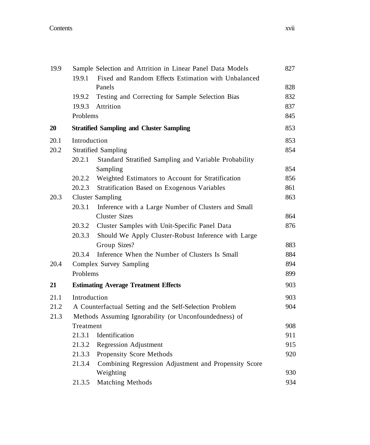| 19.9 | Sample Selection and Attrition in Linear Panel Data Models |                                                               | 827 |  |
|------|------------------------------------------------------------|---------------------------------------------------------------|-----|--|
|      | 19.9.1                                                     | Fixed and Random Effects Estimation with Unbalanced<br>Panels | 828 |  |
|      | 19.9.2                                                     | Testing and Correcting for Sample Selection Bias              | 832 |  |
|      | 19.9.3                                                     | Attrition                                                     | 837 |  |
|      | Problems                                                   |                                                               | 845 |  |
| 20   |                                                            | <b>Stratified Sampling and Cluster Sampling</b>               | 853 |  |
| 20.1 | Introduction                                               |                                                               | 853 |  |
| 20.2 |                                                            | <b>Stratified Sampling</b>                                    |     |  |
|      | 20.2.1                                                     | Standard Stratified Sampling and Variable Probability         |     |  |
|      |                                                            | Sampling                                                      | 854 |  |
|      | 20.2.2                                                     | Weighted Estimators to Account for Stratification             | 856 |  |
|      | 20.2.3                                                     | Stratification Based on Exogenous Variables                   | 861 |  |
| 20.3 | <b>Cluster Sampling</b>                                    |                                                               |     |  |
|      | 20.3.1                                                     | Inference with a Large Number of Clusters and Small           |     |  |
|      |                                                            | <b>Cluster Sizes</b>                                          | 864 |  |
|      | 20.3.2                                                     | Cluster Samples with Unit-Specific Panel Data                 | 876 |  |
|      | 20.3.3                                                     | Should We Apply Cluster-Robust Inference with Large           |     |  |
|      |                                                            | Group Sizes?                                                  | 883 |  |
|      | 20.3.4                                                     | Inference When the Number of Clusters Is Small                | 884 |  |
| 20.4 | Complex Survey Sampling                                    |                                                               |     |  |
|      | Problems                                                   |                                                               |     |  |
| 21   |                                                            | <b>Estimating Average Treatment Effects</b>                   | 903 |  |
| 21.1 |                                                            | Introduction                                                  |     |  |
| 21.2 |                                                            | A Counterfactual Setting and the Self-Selection Problem       |     |  |
| 21.3 | Methods Assuming Ignorability (or Unconfoundedness) of     |                                                               |     |  |
|      | Treatment                                                  |                                                               |     |  |
|      |                                                            | 21.3.1 Identification                                         | 911 |  |
|      |                                                            | 21.3.2 Regression Adjustment                                  | 915 |  |
|      |                                                            | 21.3.3 Propensity Score Methods                               | 920 |  |
|      | 21.3.4                                                     | Combining Regression Adjustment and Propensity Score          |     |  |
|      |                                                            | Weighting                                                     | 930 |  |
|      | 21.3.5                                                     | Matching Methods                                              | 934 |  |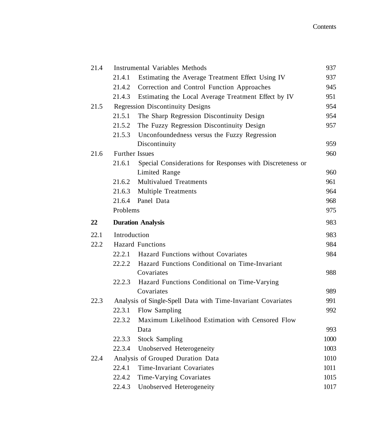| 21.4 | <b>Instrumental Variables Methods</b>   |                                                              | 937          |
|------|-----------------------------------------|--------------------------------------------------------------|--------------|
|      | 21.4.1                                  | Estimating the Average Treatment Effect Using IV             | 937          |
|      | 21.4.2                                  | Correction and Control Function Approaches                   | 945          |
|      | 21.4.3                                  | Estimating the Local Average Treatment Effect by IV          | 951          |
| 21.5 | <b>Regression Discontinuity Designs</b> |                                                              |              |
|      | 21.5.1                                  | The Sharp Regression Discontinuity Design                    | 954          |
|      | 21.5.2                                  | The Fuzzy Regression Discontinuity Design                    | 957          |
|      | 21.5.3                                  | Unconfoundedness versus the Fuzzy Regression                 |              |
|      |                                         | Discontinuity                                                | 959          |
| 21.6 | <b>Further Issues</b>                   |                                                              | 960          |
|      | 21.6.1                                  | Special Considerations for Responses with Discreteness or    |              |
|      |                                         | Limited Range                                                | 960          |
|      | 21.6.2                                  | <b>Multivalued Treatments</b>                                | 961          |
|      | 21.6.3                                  | <b>Multiple Treatments</b>                                   | 964          |
|      | 21.6.4                                  | Panel Data                                                   | 968          |
|      | Problems                                |                                                              | 975          |
| 22   |                                         | <b>Duration Analysis</b>                                     | 983          |
|      |                                         |                                                              |              |
| 22.1 | Introduction                            |                                                              | 983          |
| 22.2 |                                         | <b>Hazard Functions</b>                                      | 984          |
|      | 22.2.1                                  | Hazard Functions without Covariates                          | 984          |
|      | 22.2.2                                  | Hazard Functions Conditional on Time-Invariant               |              |
|      |                                         | Covariates                                                   | 988          |
|      | 22.2.3                                  | Hazard Functions Conditional on Time-Varying                 |              |
|      |                                         | Covariates                                                   | 989          |
| 22.3 |                                         | Analysis of Single-Spell Data with Time-Invariant Covariates | 991          |
|      | 22.3.1                                  | Flow Sampling                                                | 992          |
|      | 22.3.2                                  | Maximum Likelihood Estimation with Censored Flow             |              |
|      |                                         | Data                                                         | 993          |
|      | 22.3.3                                  | <b>Stock Sampling</b>                                        | 1000         |
|      | 22.3.4                                  | Unobserved Heterogeneity                                     | 1003         |
| 22.4 |                                         | Analysis of Grouped Duration Data                            | 1010         |
|      | 22.4.1                                  | Time-Invariant Covariates                                    | 1011         |
|      | 22.4.2                                  | Time-Varying Covariates<br>Unobserved Heterogeneity          | 1015<br>1017 |